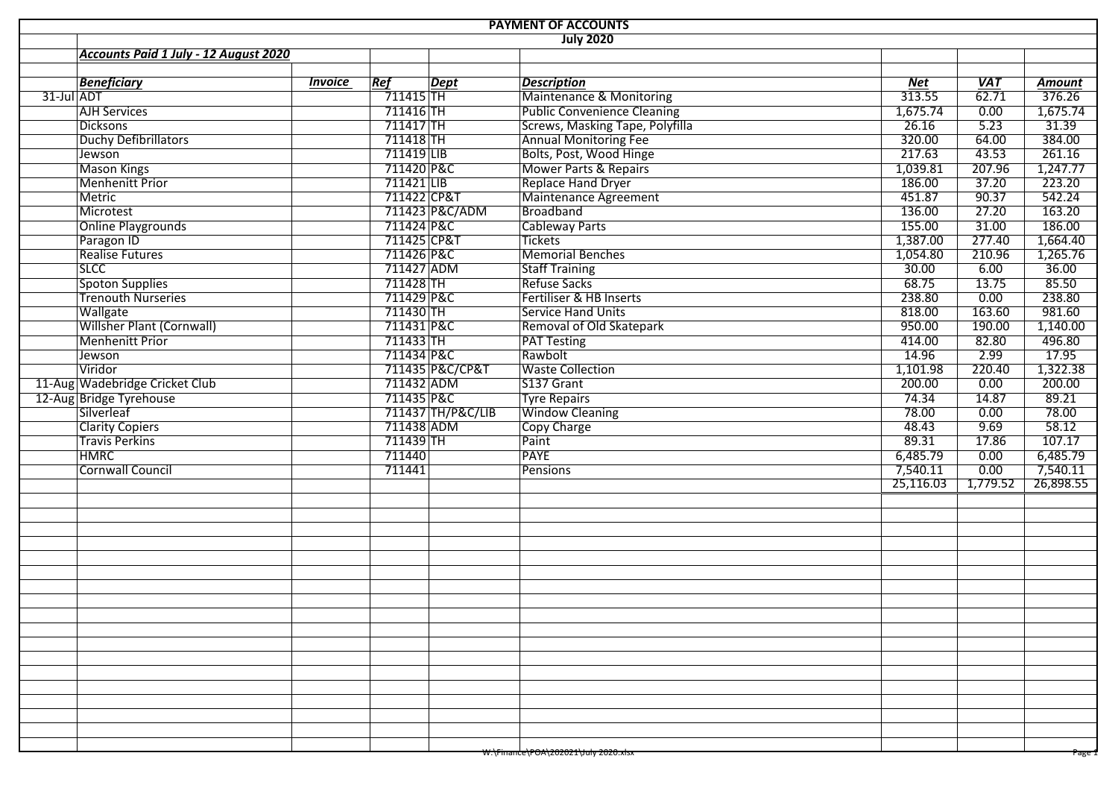| <b>PAYMENT OF ACCOUNTS</b>            |                |             |                   |                                      |            |                   |                    |  |  |  |  |  |  |
|---------------------------------------|----------------|-------------|-------------------|--------------------------------------|------------|-------------------|--------------------|--|--|--|--|--|--|
| <b>July 2020</b>                      |                |             |                   |                                      |            |                   |                    |  |  |  |  |  |  |
| Accounts Paid 1 July - 12 August 2020 |                |             |                   |                                      |            |                   |                    |  |  |  |  |  |  |
|                                       |                |             |                   |                                      |            |                   |                    |  |  |  |  |  |  |
| <b>Beneficiary</b>                    | <b>Invoice</b> | Re f        | Dept              | <b>Description</b>                   | <b>Net</b> | <b>VAT</b>        | Amount             |  |  |  |  |  |  |
| 31-Jul ADT                            |                | $711415$ TH |                   | Maintenance & Monitoring             | 313.55     | $\frac{1}{62.71}$ | $\frac{1}{376.26}$ |  |  |  |  |  |  |
| <b>AJH Services</b>                   |                | 711416 TH   |                   | <b>Public Convenience Cleaning</b>   | 1,675.74   | 0.00              | 1,675.74           |  |  |  |  |  |  |
| <b>Dicksons</b>                       |                | 711417 TH   |                   | Screws, Masking Tape, Polyfilla      | 26.16      | 5.23              | 31.39              |  |  |  |  |  |  |
| Duchy Defibrillators                  |                | $711418$ TH |                   | <b>Annual Monitoring Fee</b>         | 320.00     | 64.00             | 384.00             |  |  |  |  |  |  |
| Jewson                                |                | 711419 LIB  |                   | Bolts, Post, Wood Hinge              | 217.63     | 43.53             | 261.16             |  |  |  |  |  |  |
| <b>Mason Kings</b>                    |                | 711420 P&C  |                   | <b>Mower Parts &amp; Repairs</b>     | 1,039.81   | 207.96            | 1,247.77           |  |  |  |  |  |  |
| <b>Menhenitt Prior</b>                |                | 711421 LIB  |                   | <b>Replace Hand Dryer</b>            | 186.00     | 37.20             | 223.20             |  |  |  |  |  |  |
| <b>Metric</b>                         |                | 711422 CP&T |                   | Maintenance Agreement                | 451.87     | 90.37             | 542.24             |  |  |  |  |  |  |
| Microtest                             |                |             | 711423 P&C/ADM    | Broadband                            | 136.00     | 27.20             | 163.20             |  |  |  |  |  |  |
| <b>Online Playgrounds</b>             |                | 711424 P&C  |                   | <b>Cableway Parts</b>                | 155.00     | 31.00             | 186.00             |  |  |  |  |  |  |
| Paragon ID                            |                | 711425 CP&T |                   | <b>Tickets</b>                       | 1,387.00   | 277.40            | 1,664.40           |  |  |  |  |  |  |
| <b>Realise Futures</b>                |                | 711426 P&C  |                   | Memorial Benches                     | 1,054.80   | 210.96            | 1,265.76           |  |  |  |  |  |  |
| <b>SLCC</b>                           |                | 711427 ADM  |                   | <b>Staff Training</b>                | 30.00      | 6.00              | 36.00              |  |  |  |  |  |  |
| <b>Spoton Supplies</b>                |                | 711428 TH   |                   | <b>Refuse Sacks</b>                  | 68.75      | 13.75             | 85.50              |  |  |  |  |  |  |
| <b>Trenouth Nurseries</b>             |                | 711429 P&C  |                   | Fertiliser & HB Inserts              | 238.80     | 0.00              | 238.80             |  |  |  |  |  |  |
| Wallgate                              |                | 711430 TH   |                   | <b>Service Hand Units</b>            | 818.00     | 163.60            | 981.60             |  |  |  |  |  |  |
| Willsher Plant (Cornwall)             |                | 711431 P&C  |                   | Removal of Old Skatepark             | 950.00     | 190.00            | 1,140.00           |  |  |  |  |  |  |
| <b>Menhenitt Prior</b>                |                | $711433$ TH |                   | <b>PAT Testing</b>                   | 414.00     | 82.80             | 496.80             |  |  |  |  |  |  |
| Jewson                                |                | 711434 P&C  |                   | Rawbolt                              | 14.96      | 2.99              | 17.95              |  |  |  |  |  |  |
| Viridor                               |                |             | 711435 P&C/CP&T   | <b>Waste Collection</b>              | 1,101.98   | 220.40            | 1,322.38           |  |  |  |  |  |  |
| 11-Aug Wadebridge Cricket Club        |                | 711432 ADM  |                   | S137 Grant                           | 200.00     | 0.00              | 200.00             |  |  |  |  |  |  |
| 12-Aug Bridge Tyrehouse               |                | 711435 P&C  |                   | <b>Tyre Repairs</b>                  | 74.34      | 14.87             | 89.21              |  |  |  |  |  |  |
| Silverleaf                            |                |             | 711437 TH/P&C/LIB | <b>Window Cleaning</b>               | 78.00      | 0.00              | 78.00              |  |  |  |  |  |  |
| <b>Clarity Copiers</b>                |                | 711438 ADM  |                   | Copy Charge                          | 48.43      | 9.69              | 58.12              |  |  |  |  |  |  |
| <b>Travis Perkins</b>                 |                | 711439 TH   |                   | Paint                                | 89.31      | 17.86             | 107.17             |  |  |  |  |  |  |
| <b>HMRC</b>                           |                | 711440      |                   | <b>PAYE</b>                          | 6,485.79   | 0.00              | 6,485.79           |  |  |  |  |  |  |
| <b>Cornwall Council</b>               |                | 711441      |                   | Pensions                             | 7,540.11   | 0.00              | 7,540.11           |  |  |  |  |  |  |
|                                       |                |             |                   |                                      | 25,116.03  | 1,779.52          | 26,898.55          |  |  |  |  |  |  |
|                                       |                |             |                   |                                      |            |                   |                    |  |  |  |  |  |  |
|                                       |                |             |                   |                                      |            |                   |                    |  |  |  |  |  |  |
|                                       |                |             |                   |                                      |            |                   |                    |  |  |  |  |  |  |
|                                       |                |             |                   |                                      |            |                   |                    |  |  |  |  |  |  |
|                                       |                |             |                   |                                      |            |                   |                    |  |  |  |  |  |  |
|                                       |                |             |                   |                                      |            |                   |                    |  |  |  |  |  |  |
|                                       |                |             |                   |                                      |            |                   |                    |  |  |  |  |  |  |
|                                       |                |             |                   |                                      |            |                   |                    |  |  |  |  |  |  |
|                                       |                |             |                   |                                      |            |                   |                    |  |  |  |  |  |  |
|                                       |                |             |                   |                                      |            |                   |                    |  |  |  |  |  |  |
|                                       |                |             |                   |                                      |            |                   |                    |  |  |  |  |  |  |
|                                       |                |             |                   |                                      |            |                   |                    |  |  |  |  |  |  |
|                                       |                |             |                   |                                      |            |                   |                    |  |  |  |  |  |  |
|                                       |                |             |                   |                                      |            |                   |                    |  |  |  |  |  |  |
|                                       |                |             |                   |                                      |            |                   |                    |  |  |  |  |  |  |
|                                       |                |             |                   |                                      |            |                   |                    |  |  |  |  |  |  |
|                                       |                |             |                   |                                      |            |                   |                    |  |  |  |  |  |  |
|                                       |                |             |                   |                                      |            |                   |                    |  |  |  |  |  |  |
|                                       |                |             |                   |                                      |            |                   |                    |  |  |  |  |  |  |
|                                       |                |             |                   | w:\Finance\POA\Z0Z0Z1\July Z0Z0.XISX |            |                   | rage I             |  |  |  |  |  |  |